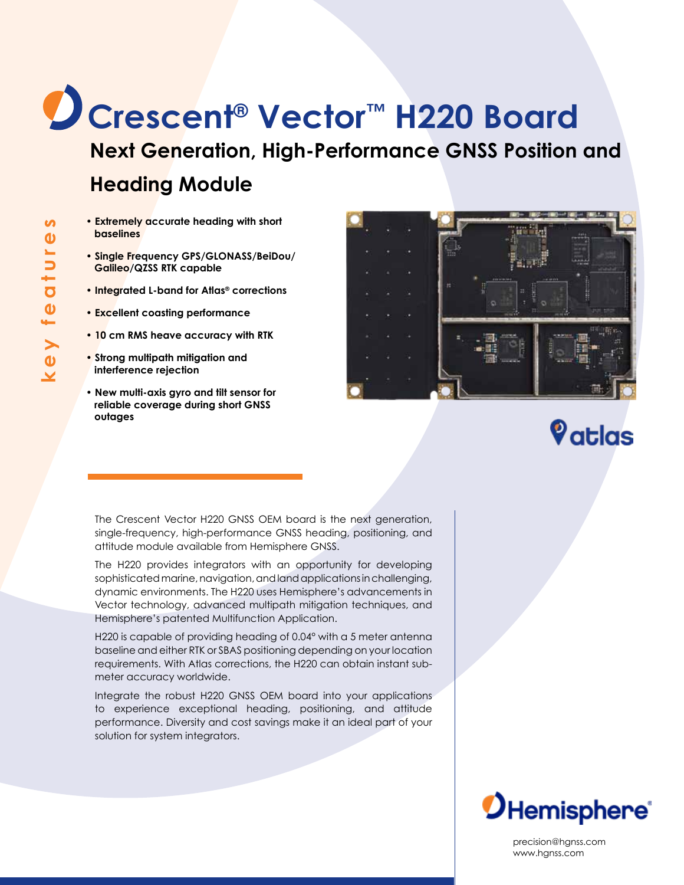## **Crescent® Vector™ H220 Board Next Generation, High-Performance GNSS Position and Heading Module**

- **Extremely accurate heading with short baselines**
- **Single Frequency GPS/GLONASS/BeiDou/ Galileo/QZSS RTK capable**
- **Integrated L-band for Atlas® corrections**
- **Excellent coasting performance**
- **10 cm RMS heave accuracy with RTK**
- **Strong multipath mitigation and interference rejection**
- **New multi-axis gyro and tilt sensor for reliable coverage during short GNSS outages**



## $\mathbf{\large{\%}}$ atlas

The Crescent Vector H220 GNSS OEM board is the next generation, single-frequency, high-performance GNSS heading, positioning, and attitude module available from Hemisphere GNSS.

The H220 provides integrators with an opportunity for developing sophisticated marine, navigation, and land applications in challenging, dynamic environments. The H220 uses Hemisphere's advancements in Vector technology, advanced multipath mitigation techniques, and Hemisphere's patented Multifunction Application.

H220 is capable of providing heading of 0.04° with a 5 meter antenna baseline and either RTK or SBAS positioning depending on your location requirements. With Atlas corrections, the H220 can obtain instant submeter accuracy worldwide.

Integrate the robust H220 GNSS OEM board into your applications to experience exceptional heading, positioning, and attitude performance. Diversity and cost savings make it an ideal part of your solution for system integrators.



precision@hgnss.com www.hgnss.com